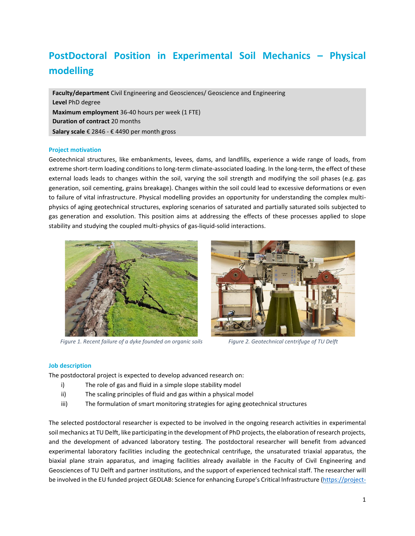# **PostDoctoral Position in Experimental Soil Mechanics – Physical modelling**

**Faculty/department** Civil Engineering and Geosciences/ Geoscience and Engineering **Level** PhD degree **Maximum employment** 36-40 hours per week (1 FTE) **Duration of contract** 20 months **Salary scale** € 2846 - € 4490 per month gross

## **Project motivation**

Geotechnical structures, like embankments, levees, dams, and landfills, experience a wide range of loads, from extreme short-term loading conditions to long-term climate-associated loading. In the long-term, the effect of these external loads leads to changes within the soil, varying the soil strength and modifying the soil phases (e.g. gas generation, soil cementing, grains breakage). Changes within the soil could lead to excessive deformations or even to failure of vital infrastructure. Physical modelling provides an opportunity for understanding the complex multiphysics of aging geotechnical structures, exploring scenarios of saturated and partially saturated soils subjected to gas generation and exsolution. This position aims at addressing the effects of these processes applied to slope stability and studying the coupled multi-physics of gas-liquid-solid interactions.



*Figure 1. Recent failure of a dyke founded on organic soils Figure 2. Geotechnical centrifuge of TU Delft*



### **Job description**

The postdoctoral project is expected to develop advanced research on:

- i) The role of gas and fluid in a simple slope stability model
- ii) The scaling principles of fluid and gas within a physical model
- iii) The formulation of smart monitoring strategies for aging geotechnical structures

The selected postdoctoral researcher is expected to be involved in the ongoing research activities in experimental soil mechanics at TU Delft, like participating in the development of PhD projects, the elaboration of research projects, and the development of advanced laboratory testing. The postdoctoral researcher will benefit from advanced experimental laboratory facilities including the geotechnical centrifuge, the unsaturated triaxial apparatus, the biaxial plane strain apparatus, and imaging facilities already available in the Faculty of Civil Engineering and Geosciences of TU Delft and partner institutions, and the support of experienced technical staff. The researcher will be involved in the EU funded project GEOLAB: Science for enhancing Europe's Critical Infrastructure [\(https://project-](https://project-geolab.eu/)